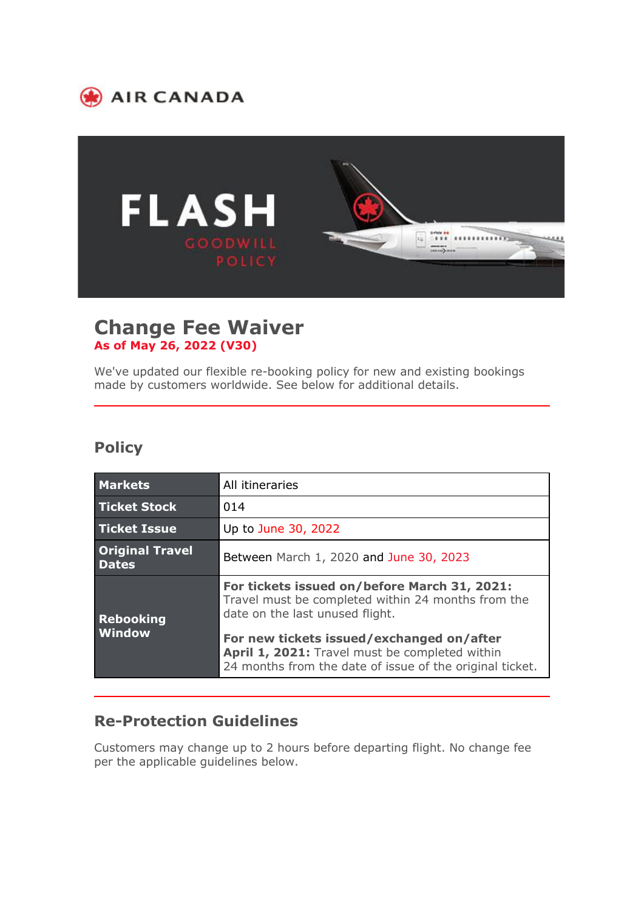



## **Change Fee Waiver As of May 26, 2022 (V30)**

We've updated our flexible re-booking policy for new and existing bookings made by customers worldwide. See below for additional details.

## **Policy**

| <b>Markets</b>                         | All itineraries                                                                                                                                         |
|----------------------------------------|---------------------------------------------------------------------------------------------------------------------------------------------------------|
| <b>Ticket Stock</b>                    | 014                                                                                                                                                     |
| <b>Ticket Issue</b>                    | Up to June 30, 2022                                                                                                                                     |
| <b>Original Travel</b><br><b>Dates</b> | Between March 1, 2020 and June 30, 2023                                                                                                                 |
| <b>Rebooking</b><br><b>Window</b>      | For tickets issued on/before March 31, 2021:<br>Travel must be completed within 24 months from the<br>date on the last unused flight.                   |
|                                        | For new tickets issued/exchanged on/after<br>April 1, 2021: Travel must be completed within<br>24 months from the date of issue of the original ticket. |

## **Re-Protection Guidelines**

Customers may change up to 2 hours before departing flight. No change fee per the applicable guidelines below.